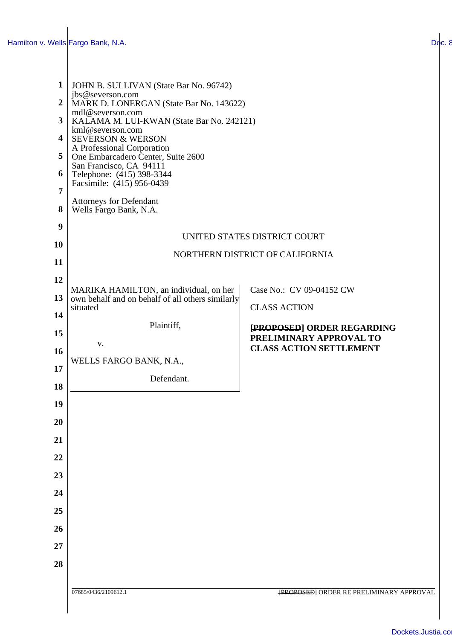| $\mathbf{1}$        | JOHN B. SULLIVAN (State Bar No. 96742)                                                     |                                                           |  |
|---------------------|--------------------------------------------------------------------------------------------|-----------------------------------------------------------|--|
| $\overline{2}$      | jbs@severson.com<br>MARK D. LONERGAN (State Bar No. 143622)                                |                                                           |  |
| 3                   | mdl@severson.com<br>KALAMA M. LUI-KWAN (State Bar No. 242121)                              |                                                           |  |
| 4                   | kml@severson.com                                                                           |                                                           |  |
|                     | <b>SEVERSON &amp; WERSON</b><br>A Professional Corporation                                 |                                                           |  |
| 5                   | One Embarcadero Center, Suite 2600<br>San Francisco, CA 94111                              |                                                           |  |
| 6                   | Telephone: (415) 398-3344<br>Facsimile: (415) 956-0439                                     |                                                           |  |
| $\overline{7}$<br>8 | <b>Attorneys for Defendant</b><br>Wells Fargo Bank, N.A.                                   |                                                           |  |
| 9                   |                                                                                            |                                                           |  |
| 10                  | UNITED STATES DISTRICT COURT                                                               |                                                           |  |
| 11                  | NORTHERN DISTRICT OF CALIFORNIA                                                            |                                                           |  |
| 12                  |                                                                                            |                                                           |  |
| 13                  | MARIKA HAMILTON, an individual, on her<br>own behalf and on behalf of all others similarly | Case No.: CV 09-04152 CW                                  |  |
| 14                  | situated                                                                                   | <b>CLASS ACTION</b>                                       |  |
|                     | Plaintiff,                                                                                 | [PROPOSED] ORDER REGARDING                                |  |
| 15                  | V.                                                                                         | PRELIMINARY APPROVAL TO<br><b>CLASS ACTION SETTLEMENT</b> |  |
| 16                  | WELLS FARGO BANK, N.A.,                                                                    |                                                           |  |
| 17                  | Defendant.                                                                                 |                                                           |  |
| 18                  |                                                                                            |                                                           |  |
| 19                  |                                                                                            |                                                           |  |
| 20                  |                                                                                            |                                                           |  |
| 21                  |                                                                                            |                                                           |  |
| 22                  |                                                                                            |                                                           |  |
| 23                  |                                                                                            |                                                           |  |
| 24                  |                                                                                            |                                                           |  |
| 25                  |                                                                                            |                                                           |  |
| 26                  |                                                                                            |                                                           |  |
| 27                  |                                                                                            |                                                           |  |
| 28                  |                                                                                            |                                                           |  |
|                     |                                                                                            |                                                           |  |
|                     | 07685/0436/2109612.1                                                                       | <b>{PROPOSED] ORDER RE PRELIMINARY APPROVAL</b>           |  |
|                     |                                                                                            |                                                           |  |